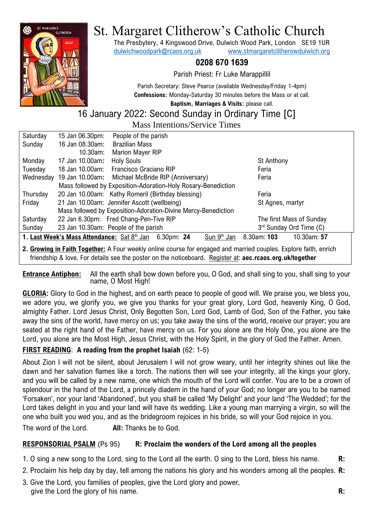

# St. Margaret Clitherow's Catholic Church

The Presbytery, 4 Kingswood Drive, Dulwich Wood Park, London SE19 1UR [dulwichwoodpark@rcaos.org.uk](mailto:dulwichwoodpark@rcaos.org.uk) [www.stmargaretclitherowdulwich.org](http://www.stmargaretclitherowdulwich.org/)

## **0208 670 1639**

Parish Priest: Fr Luke Marappillil

Parish Secretary: Steve Pearce (available Wednesday/Friday 1-4pm) **Confessions:** Monday-Saturday 30 minutes before the Mass or at call.

**Baptism, Marriages & Visits:** please call.

# 16 January 2022: Second Sunday in Ordinary Time [C]

| <b>Mass Intentions/Service Times</b>                                                                             |                                                               |                                                   |  |  |                          |  |
|------------------------------------------------------------------------------------------------------------------|---------------------------------------------------------------|---------------------------------------------------|--|--|--------------------------|--|
| Saturday                                                                                                         | 15 Jan 06.30pm:                                               | People of the parish                              |  |  |                          |  |
| Sunday                                                                                                           | 16 Jan 08.30am:                                               | <b>Brazilian Mass</b>                             |  |  |                          |  |
|                                                                                                                  | 10.30am:                                                      | <b>Marion Mayer RIP</b>                           |  |  |                          |  |
| Monday                                                                                                           | 17 Jan 10.00am:                                               | <b>Holy Souls</b>                                 |  |  | St Anthony               |  |
| Tuesday                                                                                                          | 18 Jan 10.00am:                                               | Francisco Graciano RIP                            |  |  | Feria                    |  |
| Wednesday                                                                                                        |                                                               | 19 Jan 10.00am: Michael McBride RIP (Anniversary) |  |  | Feria                    |  |
|                                                                                                                  | Mass followed by Exposition-Adoration-Holy Rosary-Benediction |                                                   |  |  |                          |  |
| Thursday                                                                                                         |                                                               | 20 Jan 10.00am: Kathy Romeril (Birthday blessing) |  |  | Feria                    |  |
| Friday                                                                                                           |                                                               | 21 Jan 10.00am: Jennifer Ascott (wellbeing)       |  |  | St Agnes, martyr         |  |
| Mass followed by Exposition-Adoration-Divine Mercy-Benediction                                                   |                                                               |                                                   |  |  |                          |  |
| Saturday                                                                                                         |                                                               | 22 Jan 6.30pm: Fred Chang-Pen-Tive RIP            |  |  | The first Mass of Sunday |  |
| Sunday                                                                                                           |                                                               | 23 Jan 10.30am: People of the parish              |  |  | 3rd Sunday Ord Time (C)  |  |
| 1. Last Week's Mass Attendance: Sat 8th Jan 6.30pm: 24<br>Sun 9 <sup>th</sup> Jan<br>8.30am: 103<br>10.30am: 57  |                                                               |                                                   |  |  |                          |  |
| 2. Growing in Faith Together: A Four weekly online course for engaged and married couples. Explore faith, enrich |                                                               |                                                   |  |  |                          |  |

friendship & love. For details see the poster on the noticeboard. Register at: **aec.rcaos.org.uk/together**

**Entrance Antiphon:** All the earth shall bow down before you, O God, and shall sing to you, shall sing to your name, O Most High!

**GLORIA:** Glory to God in the highest, and on earth peace to people of good will. We praise you, we bless you, we adore you, we glorify you, we give you thanks for your great glory, Lord God, heavenly King, O God, almighty Father. Lord Jesus Christ, Only Begotten Son, Lord God, Lamb of God, Son of the Father, you take away the sins of the world, have mercy on us; you take away the sins of the world, receive our prayer; you are seated at the right hand of the Father, have mercy on us. For you alone are the Holy One, you alone are the Lord, you alone are the Most High, Jesus Christ, with the Holy Spirit, in the glory of God the Father. Amen.

## **FIRST READING**: **A reading from the prophet Isaiah** (62: 1-5)

About Zion I will not be silent, about Jerusalem I will not grow weary, until her integrity shines out like the dawn and her salvation flames like a torch. The nations then will see your integrity, all the kings your glory, and you will be called by a new name, one which the mouth of the Lord will confer. You are to be a crown of splendour in the hand of the Lord, a princely diadem in the hand of your God; no longer are you to be named 'Forsaken', nor your land 'Abandoned', but you shall be called 'My Delight' and your land 'The Wedded'; for the Lord takes delight in you and your land will have its wedding. Like a young man marrying a virgin, so will the one who built you wed you, and as the bridegroom rejoices in his bride, so will your God rejoice in you. The word of the Lord. **All:** Thanks be to God.

#### **RESPONSORIAL PSALM** (Ps 95) **R: Proclaim the wonders of the Lord among all the peoples**

- 1. O sing a new song to the Lord, sing to the Lord all the earth. O sing to the Lord, bless his name. **R:**
- 2. Proclaim his help day by day, tell among the nations his glory and his wonders among all the peoples. **R:**
- 3. Give the Lord, you families of peoples, give the Lord glory and power, give the Lord the glory of his name. **R:**